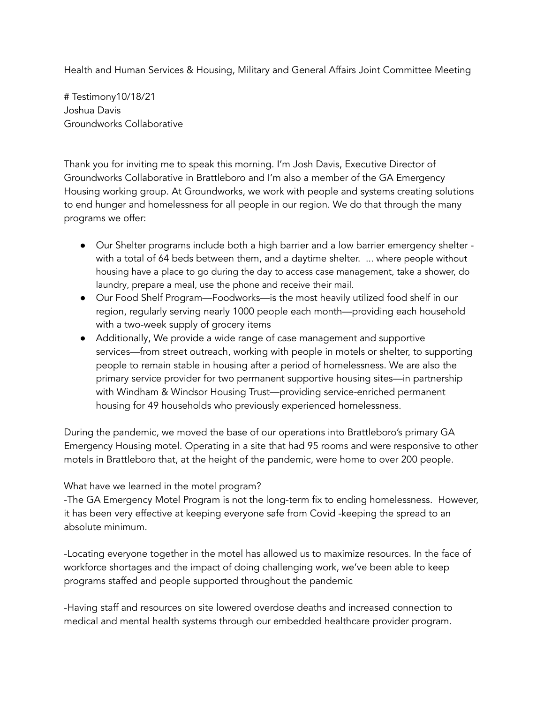Health and Human Services & Housing, Military and General Affairs Joint Committee Meeting

# Testimony10/18/21 Joshua Davis Groundworks Collaborative

Thank you for inviting me to speak this morning. I'm Josh Davis, Executive Director of Groundworks Collaborative in Brattleboro and I'm also a member of the GA Emergency Housing working group. At Groundworks, we work with people and systems creating solutions to end hunger and homelessness for all people in our region. We do that through the many programs we offer:

- Our Shelter programs include both a high barrier and a low barrier emergency shelter with a total of 64 beds between them, and a daytime shelter. ... where people without housing have a place to go during the day to access case management, take a shower, do laundry, prepare a meal, use the phone and receive their mail.
- Our Food Shelf Program—Foodworks—is the most heavily utilized food shelf in our region, regularly serving nearly 1000 people each month—providing each household with a two-week supply of grocery items
- Additionally, We provide a wide range of case management and supportive services—from street outreach, working with people in motels or shelter, to supporting people to remain stable in housing after a period of homelessness. We are also the primary service provider for two permanent supportive housing sites—in partnership with Windham & Windsor Housing Trust—providing service-enriched permanent housing for 49 households who previously experienced homelessness.

During the pandemic, we moved the base of our operations into Brattleboro's primary GA Emergency Housing motel. Operating in a site that had 95 rooms and were responsive to other motels in Brattleboro that, at the height of the pandemic, were home to over 200 people.

## What have we learned in the motel program?

-The GA Emergency Motel Program is not the long-term fix to ending homelessness. However, it has been very effective at keeping everyone safe from Covid -keeping the spread to an absolute minimum.

-Locating everyone together in the motel has allowed us to maximize resources. In the face of workforce shortages and the impact of doing challenging work, we've been able to keep programs staffed and people supported throughout the pandemic

-Having staff and resources on site lowered overdose deaths and increased connection to medical and mental health systems through our embedded healthcare provider program.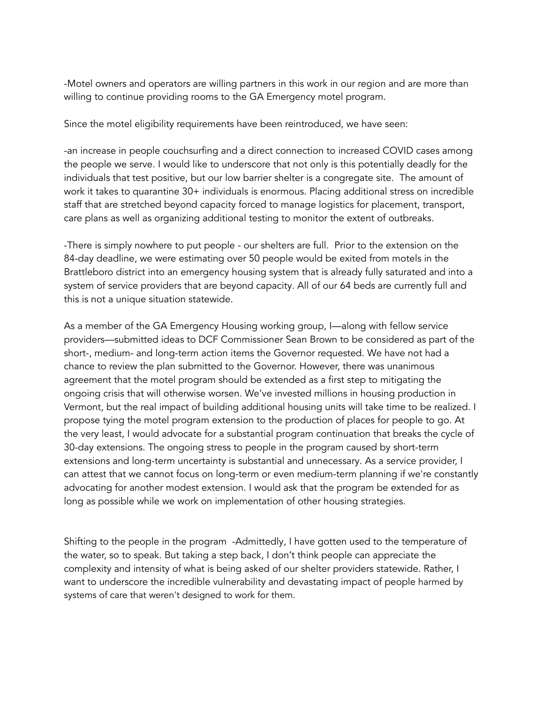-Motel owners and operators are willing partners in this work in our region and are more than willing to continue providing rooms to the GA Emergency motel program.

Since the motel eligibility requirements have been reintroduced, we have seen:

-an increase in people couchsurfing and a direct connection to increased COVID cases among the people we serve. I would like to underscore that not only is this potentially deadly for the individuals that test positive, but our low barrier shelter is a congregate site. The amount of work it takes to quarantine 30+ individuals is enormous. Placing additional stress on incredible staff that are stretched beyond capacity forced to manage logistics for placement, transport, care plans as well as organizing additional testing to monitor the extent of outbreaks.

-There is simply nowhere to put people - our shelters are full. Prior to the extension on the 84-day deadline, we were estimating over 50 people would be exited from motels in the Brattleboro district into an emergency housing system that is already fully saturated and into a system of service providers that are beyond capacity. All of our 64 beds are currently full and this is not a unique situation statewide.

As a member of the GA Emergency Housing working group, I—along with fellow service providers—submitted ideas to DCF Commissioner Sean Brown to be considered as part of the short-, medium- and long-term action items the Governor requested. We have not had a chance to review the plan submitted to the Governor. However, there was unanimous agreement that the motel program should be extended as a first step to mitigating the ongoing crisis that will otherwise worsen. We've invested millions in housing production in Vermont, but the real impact of building additional housing units will take time to be realized. I propose tying the motel program extension to the production of places for people to go. At the very least, I would advocate for a substantial program continuation that breaks the cycle of 30-day extensions. The ongoing stress to people in the program caused by short-term extensions and long-term uncertainty is substantial and unnecessary. As a service provider, I can attest that we cannot focus on long-term or even medium-term planning if we're constantly advocating for another modest extension. I would ask that the program be extended for as long as possible while we work on implementation of other housing strategies.

Shifting to the people in the program -Admittedly, I have gotten used to the temperature of the water, so to speak. But taking a step back, I don't think people can appreciate the complexity and intensity of what is being asked of our shelter providers statewide. Rather, I want to underscore the incredible vulnerability and devastating impact of people harmed by systems of care that weren't designed to work for them.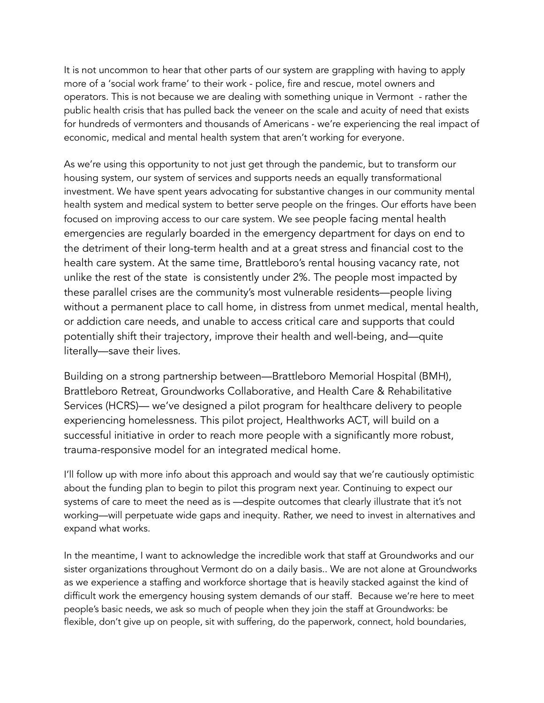It is not uncommon to hear that other parts of our system are grappling with having to apply more of a 'social work frame' to their work - police, fire and rescue, motel owners and operators. This is not because we are dealing with something unique in Vermont - rather the public health crisis that has pulled back the veneer on the scale and acuity of need that exists for hundreds of vermonters and thousands of Americans - we're experiencing the real impact of economic, medical and mental health system that aren't working for everyone.

As we're using this opportunity to not just get through the pandemic, but to transform our housing system, our system of services and supports needs an equally transformational investment. We have spent years advocating for substantive changes in our community mental health system and medical system to better serve people on the fringes. Our efforts have been focused on improving access to our care system. We see people facing mental health emergencies are regularly boarded in the emergency department for days on end to the detriment of their long-term health and at a great stress and financial cost to the health care system. At the same time, Brattleboro's rental housing vacancy rate, not unlike the rest of the state is consistently under 2%. The people most impacted by these parallel crises are the community's most vulnerable residents—people living without a permanent place to call home, in distress from unmet medical, mental health, or addiction care needs, and unable to access critical care and supports that could potentially shift their trajectory, improve their health and well-being, and—quite literally—save their lives.

Building on a strong partnership between—Brattleboro Memorial Hospital (BMH), Brattleboro Retreat, Groundworks Collaborative, and Health Care & Rehabilitative Services (HCRS)— we've designed a pilot program for healthcare delivery to people experiencing homelessness. This pilot project, Healthworks ACT, will build on a successful initiative in order to reach more people with a significantly more robust, trauma-responsive model for an integrated medical home.

I'll follow up with more info about this approach and would say that we're cautiously optimistic about the funding plan to begin to pilot this program next year. Continuing to expect our systems of care to meet the need as is —despite outcomes that clearly illustrate that it's not working—will perpetuate wide gaps and inequity. Rather, we need to invest in alternatives and expand what works.

In the meantime, I want to acknowledge the incredible work that staff at Groundworks and our sister organizations throughout Vermont do on a daily basis.. We are not alone at Groundworks as we experience a staffing and workforce shortage that is heavily stacked against the kind of difficult work the emergency housing system demands of our staff. Because we're here to meet people's basic needs, we ask so much of people when they join the staff at Groundworks: be flexible, don't give up on people, sit with suffering, do the paperwork, connect, hold boundaries,